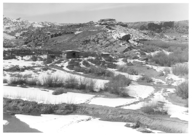